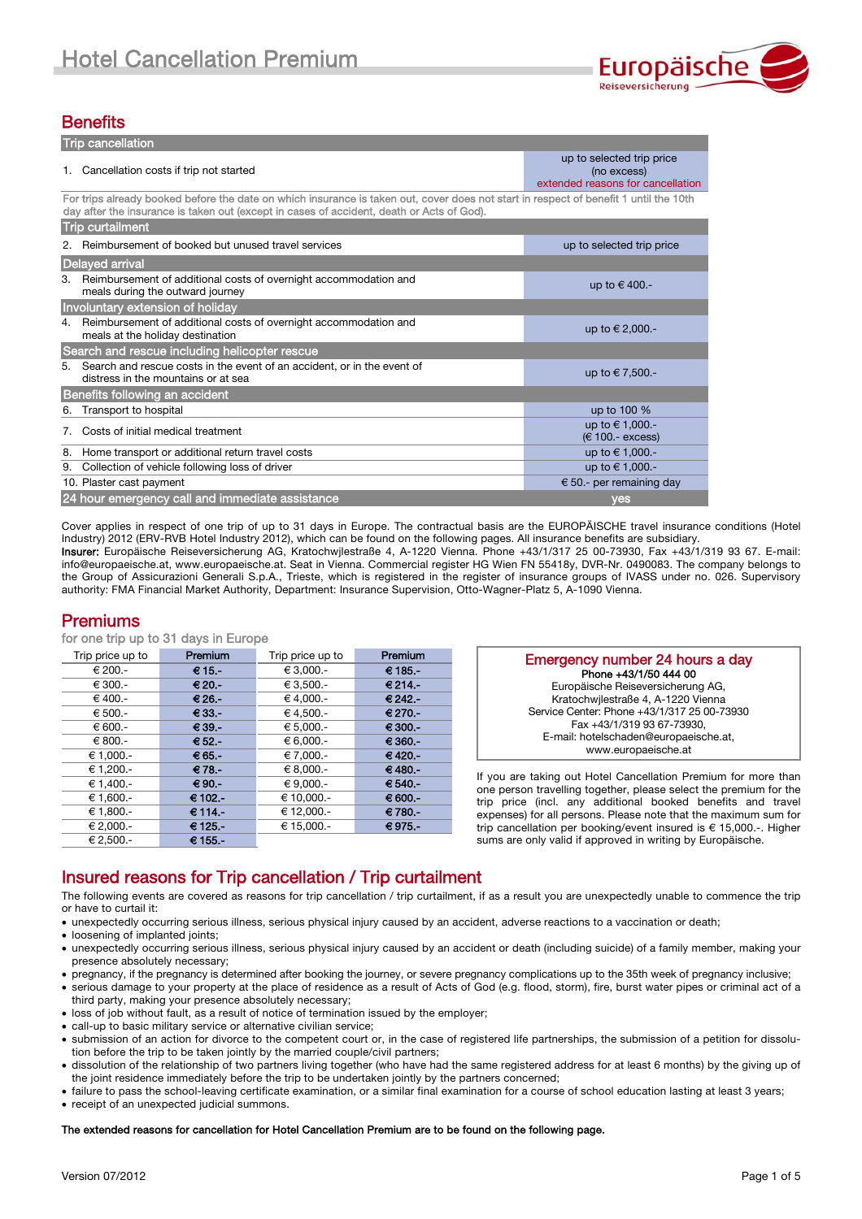

# **Benefits**

| <b>Trip cancellation</b>                                                                                                                                                                                                           |                                                                               |  |  |  |  |
|------------------------------------------------------------------------------------------------------------------------------------------------------------------------------------------------------------------------------------|-------------------------------------------------------------------------------|--|--|--|--|
| Cancellation costs if trip not started                                                                                                                                                                                             | up to selected trip price<br>(no excess)<br>extended reasons for cancellation |  |  |  |  |
| For trips already booked before the date on which insurance is taken out, cover does not start in respect of benefit 1 until the 10th<br>day after the insurance is taken out (except in cases of accident, death or Acts of God). |                                                                               |  |  |  |  |
| <b>Trip curtailment</b>                                                                                                                                                                                                            |                                                                               |  |  |  |  |
| Reimbursement of booked but unused travel services                                                                                                                                                                                 | up to selected trip price                                                     |  |  |  |  |
| Delayed arrival                                                                                                                                                                                                                    |                                                                               |  |  |  |  |
| Reimbursement of additional costs of overnight accommodation and<br>3.<br>meals during the outward journey                                                                                                                         | up to $\in$ 400.-                                                             |  |  |  |  |
| Involuntary extension of holiday                                                                                                                                                                                                   |                                                                               |  |  |  |  |
| Reimbursement of additional costs of overnight accommodation and<br>4.<br>meals at the holiday destination                                                                                                                         | up to € 2,000.-                                                               |  |  |  |  |
| Search and rescue including helicopter rescue                                                                                                                                                                                      |                                                                               |  |  |  |  |
| Search and rescue costs in the event of an accident, or in the event of<br>5.<br>distress in the mountains or at sea                                                                                                               | up to €7,500.-                                                                |  |  |  |  |
| Benefits following an accident                                                                                                                                                                                                     |                                                                               |  |  |  |  |
| Transport to hospital<br>6.                                                                                                                                                                                                        | up to 100 %                                                                   |  |  |  |  |
| Costs of initial medical treatment<br>7.                                                                                                                                                                                           | up to €1,000.-<br>$(E 100 - excess)$                                          |  |  |  |  |
| Home transport or additional return travel costs<br>8.                                                                                                                                                                             | up to €1,000.-                                                                |  |  |  |  |
| Collection of vehicle following loss of driver<br>9.                                                                                                                                                                               | up to €1,000.-                                                                |  |  |  |  |
| 10. Plaster cast payment                                                                                                                                                                                                           | € 50.- per remaining day                                                      |  |  |  |  |
| 24 hour emergency call and immediate assistance                                                                                                                                                                                    | yes                                                                           |  |  |  |  |

Cover applies in respect of one trip of up to 31 days in Europe. The contractual basis are the EUROPÄISCHE travel insurance conditions (Hotel Industry) 2012 (ERV-RVB Hotel Industry 2012), which can be found on the following pages. All insurance benefits are subsidiary. Insurer: Europäische Reiseversicherung AG, Kratochwjlestraße 4, A-1220 Vienna. Phone +43/1/317 25 00-73930, Fax +43/1/319 93 67. E-mail: info@europaeische.at, www.europaeische.at. Seat in Vienna. Commercial register HG Wien FN 55418y, DVR-Nr. 0490083. The company belongs to the Group of Assicurazioni Generali S.p.A., Trieste, which is registered in the register of insurance groups of IVASS under no. 026. Supervisory authority: FMA Financial Market Authority, Department: Insurance Supervision, Otto-Wagner-Platz 5, A-1090 Vienna.

## Premiums

for one trip up to 31 days in Europe

| Trip price up to | Premium   | Trip price up to | Premium    |
|------------------|-----------|------------------|------------|
| € 200.-          | € 15.-    | € 3.000.-        | € 185.-    |
| € 300.-          | $€ 20 -$  | € 3.500.-        | € 214.-    |
| € 400.-          | € 26.-    | € 4.000.-        | € 242.-    |
| € 500.-          | $€33. -$  | € 4.500.-        | € 270.-    |
| € 600.-          | $€ 39. -$ | € 5.000.-        | $€ 300 -$  |
| € 800.-          | € 52.     | $€ 6.000. -$     | $€ 360 -$  |
| € 1.000.-        | $€ 65. -$ | €7.000.          | €420.-     |
| € 1,200.-        | €78.-     | € 8,000.-        | $€ 480. -$ |
| € 1.400.-        | $€ 90. -$ | $€ 9.000. -$     | $€540.-$   |
| € 1,600.-        | € 102.-   | € 10,000.-       | € 600.-    |
| € 1,800.-        | € 114.-   | € 12,000.-       | €780.-     |
| € 2,000.-        | € 125.-   | € 15,000.-       | €975.-     |
| € 2.500.-        | € 155.-   |                  |            |

| Emergency number 24 hours a day             |
|---------------------------------------------|
| Phone +43/1/50 444 00                       |
| Europäische Reiseversicherung AG,           |
| Kratochwilestraße 4, A-1220 Vienna          |
| Service Center: Phone +43/1/317 25 00-73930 |
| Fax +43/1/319 93 67-73930,                  |
| E-mail: hotelschaden@europaeische.at,       |
| www.europaeische.at                         |
|                                             |

If you are taking out Hotel Cancellation Premium for more than one person travelling together, please select the premium for the trip price (incl. any additional booked benefits and travel expenses) for all persons. Please note that the maximum sum for trip cancellation per booking/event insured is € 15,000.-. Higher sums are only valid if approved in writing by Europäische.

# Insured reasons for Trip cancellation / Trip curtailment

The following events are covered as reasons for trip cancellation / trip curtailment, if as a result you are unexpectedly unable to commence the trip or have to curtail it:

- unexpectedly occurring serious illness, serious physical injury caused by an accident, adverse reactions to a vaccination or death;
- loosening of implanted joints:
- unexpectedly occurring serious illness, serious physical injury caused by an accident or death (including suicide) of a family member, making your presence absolutely necessary;
- pregnancy, if the pregnancy is determined after booking the journey, or severe pregnancy complications up to the 35th week of pregnancy inclusive; serious damage to your property at the place of residence as a result of Acts of God (e.g. flood, storm), fire, burst water pipes or criminal act of a third party, making your presence absolutely necessary;
- loss of job without fault, as a result of notice of termination issued by the employer;
- call-up to basic military service or alternative civilian service;
- submission of an action for divorce to the competent court or, in the case of registered life partnerships, the submission of a petition for dissolution before the trip to be taken jointly by the married couple/civil partners;
- dissolution of the relationship of two partners living together (who have had the same registered address for at least 6 months) by the giving up of the joint residence immediately before the trip to be undertaken jointly by the partners concerned;
- failure to pass the school-leaving certificate examination, or a similar final examination for a course of school education lasting at least 3 years;
- receipt of an unexpected judicial summons.

## The extended reasons for cancellation for Hotel Cancellation Premium are to be found on the following page.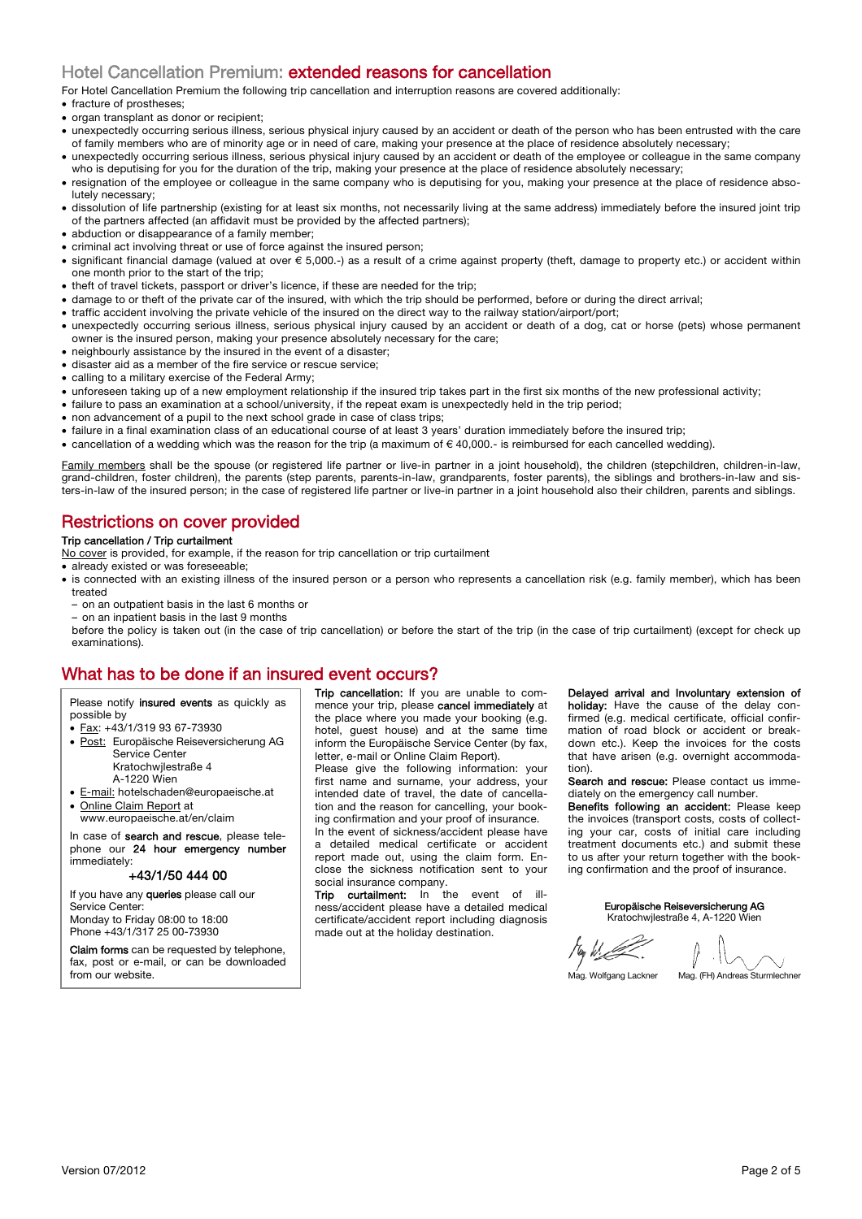# Hotel Cancellation Premium: extended reasons for cancellation

For Hotel Cancellation Premium the following trip cancellation and interruption reasons are covered additionally:

- fracture of prostheses;
- organ transplant as donor or recipient;
- unexpectedly occurring serious illness, serious physical injury caused by an accident or death of the person who has been entrusted with the care of family members who are of minority age or in need of care, making your presence at the place of residence absolutely necessary;
- unexpectedly occurring serious illness, serious physical injury caused by an accident or death of the employee or colleague in the same company who is deputising for you for the duration of the trip, making your presence at the place of residence absolutely necessary;
- resignation of the employee or colleague in the same company who is deputising for you, making your presence at the place of residence absolutely necessary;
- dissolution of life partnership (existing for at least six months, not necessarily living at the same address) immediately before the insured joint trip of the partners affected (an affidavit must be provided by the affected partners);
- abduction or disappearance of a family member:
- criminal act involving threat or use of force against the insured person;
- significant financial damage (valued at over € 5,000.-) as a result of a crime against property (theft, damage to property etc.) or accident within one month prior to the start of the trip;
- theft of travel tickets, passport or driver's licence, if these are needed for the trip;
- damage to or theft of the private car of the insured, with which the trip should be performed, before or during the direct arrival;
- traffic accident involving the private vehicle of the insured on the direct way to the railway station/airport/port;
- unexpectedly occurring serious illness, serious physical injury caused by an accident or death of a dog, cat or horse (pets) whose permanent owner is the insured person, making your presence absolutely necessary for the care;
- neighbourly assistance by the insured in the event of a disaster;
- disaster aid as a member of the fire service or rescue service;
- calling to a military exercise of the Federal Army;
- unforeseen taking up of a new employment relationship if the insured trip takes part in the first six months of the new professional activity;
- failure to pass an examination at a school/university, if the repeat exam is unexpectedly held in the trip period;
- non advancement of a pupil to the next school grade in case of class trips;
- failure in a final examination class of an educational course of at least 3 years' duration immediately before the insured trip;
- cancellation of a wedding which was the reason for the trip (a maximum of € 40,000.- is reimbursed for each cancelled wedding).

Family members shall be the spouse (or registered life partner or live-in partner in a joint household), the children (stepchildren, children-in-law, grand-children, foster children), the parents (step parents, parents-in-law, grandparents, foster parents), the siblings and brothers-in-law and sisters-in-law of the insured person; in the case of registered life partner or live-in partner in a joint household also their children, parents and siblings.

# Restrictions on cover provided

## Trip cancellation / Trip curtailment

- No cover is provided, for example, if the reason for trip cancellation or trip curtailment
- already existed or was foreseeable;
- is connected with an existing illness of the insured person or a person who represents a cancellation risk (e.g. family member), which has been treated
- on an outpatient basis in the last 6 months or
- on an inpatient basis in the last 9 months

before the policy is taken out (in the case of trip cancellation) or before the start of the trip (in the case of trip curtailment) (except for check up examinations).

# What has to be done if an insured event occurs?

Please notify insured events as quickly as possible by

- Fax: +43/1/319 93 67-73930
- · Post: Europäische Reiseversicherung AG Service Center Kratochwjlestraße 4
	- A-1220 Wien
- E-mail: hotelschaden@europaeische.at
- Online Claim Report at
- www.europaeische.at/en/claim

In case of search and rescue, please telephone our 24 hour emergency number immediately:

### +43/1/50 444 00

If you have any queries please call our Service Center: Monday to Friday 08:00 to 18:00 Phone +43/1/317 25 00-73930

Claim forms can be requested by telephone, fax, post or e-mail, or can be downloaded from our website.

Trip cancellation: If you are unable to commence your trip, please cancel immediately at the place where you made your booking (e.g. hotel, guest house) and at the same time inform the Europäische Service Center (by fax, letter, e-mail or Online Claim Report).

Please give the following information: your first name and surname, your address, your intended date of travel, the date of cancellation and the reason for cancelling, your booking confirmation and your proof of insurance.

In the event of sickness/accident please have a detailed medical certificate or accident report made out, using the claim form. Enclose the sickness notification sent to your social insurance company.

Trip curtailment: In the event of ness/accident please have a detailed medical certificate/accident report including diagnosis made out at the holiday destination.

Delayed arrival and Involuntary extension of holiday: Have the cause of the delay confirmed (e.g. medical certificate, official confirmation of road block or accident or breakdown etc.). Keep the invoices for the costs that have arisen (e.g. overnight accommodation).

Search and rescue: Please contact us immediately on the emergency call number.

Benefits following an accident: Please keep the invoices (transport costs, costs of collecting your car, costs of initial care including treatment documents etc.) and submit these to us after your return together with the booking confirmation and the proof of insurance.

#### Europäische Reiseversicherung AG Kratochwjlestraße 4, A-1220 Wien

Mag. Wolfgang Lackner Mag. (FH) Andreas Sturmlechner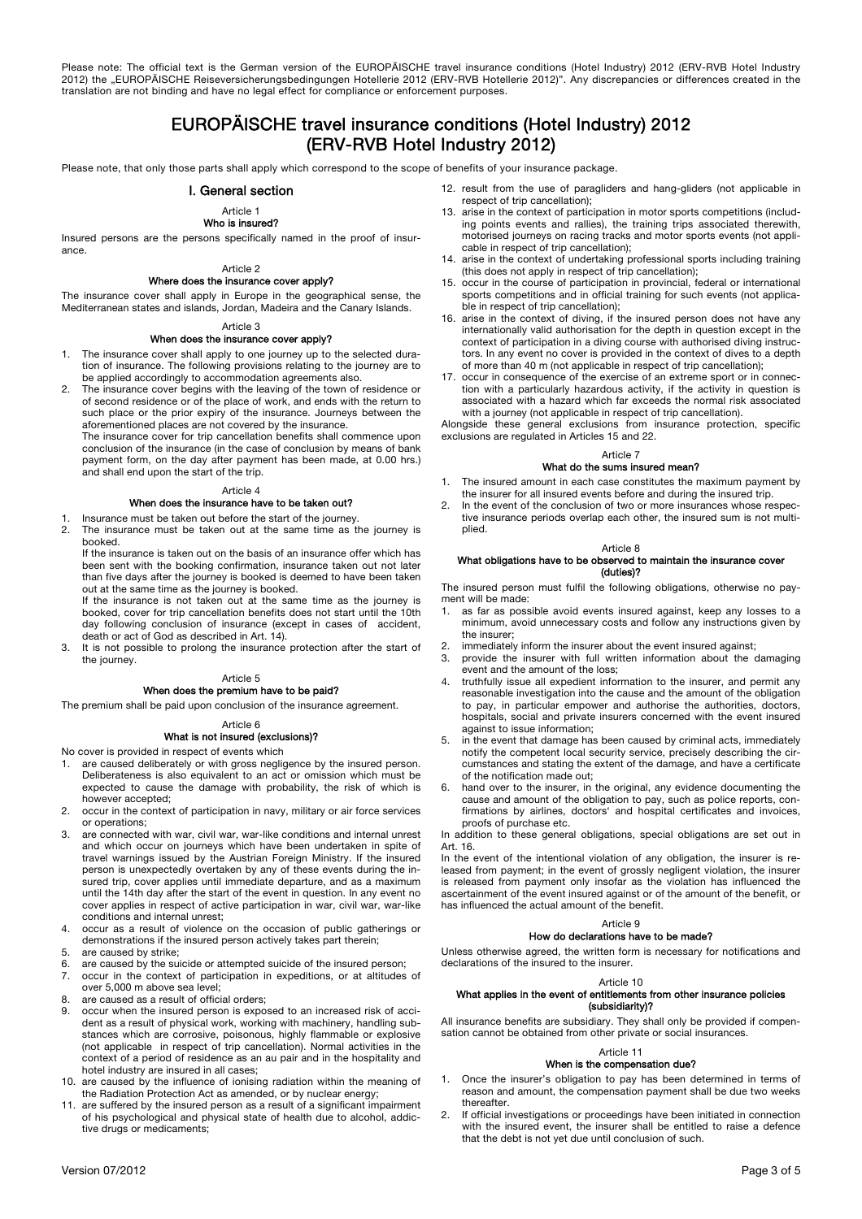Please note: The official text is the German version of the EUROPÄISCHE travel insurance conditions (Hotel Industry) 2012 (ERV-RVB Hotel Industry 2012) the "EUROPÄISCHE Reiseversicherungsbedingungen Hotellerie 2012 (ERV-RVB Hotellerie 2012)". Any discrepancies or differences created in the translation are not binding and have no legal effect for compliance or enforcement purposes.

# EUROPÄISCHE travel insurance conditions (Hotel Industry) 2012 (ERV-RVB Hotel Industry 2012)

Please note, that only those parts shall apply which correspond to the scope of benefits of your insurance package.

### I. General section

## Article 1

# Who is insured?

Insured persons are the persons specifically named in the proof of insurance.

#### Article 2 Where does the insurance cover apply?

The insurance cover shall apply in Europe in the geographical sense, the Mediterranean states and islands, Jordan, Madeira and the Canary Islands.

#### Article 3 When does the insurance cover apply?

- 1. The insurance cover shall apply to one journey up to the selected duration of insurance. The following provisions relating to the journey are to be applied accordingly to accommodation agreements also.
- The insurance cover begins with the leaving of the town of residence or of second residence or of the place of work, and ends with the return to such place or the prior expiry of the insurance. Journeys between the aforementioned places are not covered by the insurance.

The insurance cover for trip cancellation benefits shall commence upon conclusion of the insurance (in the case of conclusion by means of bank payment form, on the day after payment has been made, at 0.00 hrs.) and shall end upon the start of the trip.

#### Article 4

## When does the insurance have to be taken out?

- 1. Insurance must be taken out before the start of the journey.
- 2. The insurance must be taken out at the same time as the journey is booked.

If the insurance is taken out on the basis of an insurance offer which has been sent with the booking confirmation, insurance taken out not later than five days after the journey is booked is deemed to have been taken out at the same time as the journey is booked.

If the insurance is not taken out at the same time as the journey is booked, cover for trip cancellation benefits does not start until the 10th day following conclusion of insurance (except in cases of accident, death or act of God as described in Art. 14).

3. It is not possible to prolong the insurance protection after the start of the journey.

#### Article 5

## When does the premium have to be paid?

The premium shall be paid upon conclusion of the insurance agreement.

### Article 6

## What is not insured (exclusions)?

No cover is provided in respect of events which

- 1. are caused deliberately or with gross negligence by the insured person. Deliberateness is also equivalent to an act or omission which must be expected to cause the damage with probability, the risk of which is however accepted;
- 2. occur in the context of participation in navy, military or air force services or operations;
- 3. are connected with war, civil war, war-like conditions and internal unrest and which occur on journeys which have been undertaken in spite of travel warnings issued by the Austrian Foreign Ministry. If the insured person is unexpectedly overtaken by any of these events during the insured trip, cover applies until immediate departure, and as a maximum until the 14th day after the start of the event in question. In any event no cover applies in respect of active participation in war, civil war, war-like conditions and internal unrest;
- 4. occur as a result of violence on the occasion of public gatherings or demonstrations if the insured person actively takes part therein;
- 5. are caused by strike;<br>6. are caused by the su
- 6. are caused by the suicide or attempted suicide of the insured person;<br>7. occur in the context of participation in expeditions or at altitudes occur in the context of participation in expeditions, or at altitudes of over 5,000 m above sea level;
- 8. are caused as a result of official orders;
- 9. occur when the insured person is exposed to an increased risk of accident as a result of physical work, working with machinery, handling substances which are corrosive, poisonous, highly flammable or explosive (not applicable in respect of trip cancellation). Normal activities in the context of a period of residence as an au pair and in the hospitality and hotel industry are insured in all cases;
- 10. are caused by the influence of ionising radiation within the meaning of the Radiation Protection Act as amended, or by nuclear energy;
- 11. are suffered by the insured person as a result of a significant impairment of his psychological and physical state of health due to alcohol, addictive drugs or medicaments;
- 12. result from the use of paragliders and hang-gliders (not applicable in respect of trip cancellation);
- 13. arise in the context of participation in motor sports competitions (including points events and rallies), the training trips associated therewith, motorised journeys on racing tracks and motor sports events (not applicable in respect of trip cancellation);
- 14. arise in the context of undertaking professional sports including training (this does not apply in respect of trip cancellation);
- 15. occur in the course of participation in provincial, federal or international sports competitions and in official training for such events (not applicable in respect of trip cancellation);
- 16. arise in the context of diving, if the insured person does not have any internationally valid authorisation for the depth in question except in the context of participation in a diving course with authorised diving instructors. In any event no cover is provided in the context of dives to a depth of more than 40 m (not applicable in respect of trip cancellation);
- 17. occur in consequence of the exercise of an extreme sport or in connection with a particularly hazardous activity, if the activity in question is associated with a hazard which far exceeds the normal risk associated with a journey (not applicable in respect of trip cancellation).

Alongside these general exclusions from insurance protection, specific exclusions are regulated in Articles 15 and 22.

#### Article 7

## What do the sums insured mean?

- The insured amount in each case constitutes the maximum payment by the insurer for all insured events before and during the insured trip.
- 2. In the event of the conclusion of two or more insurances whose respective insurance periods overlap each other, the insured sum is not multiplied.

#### Article 8

#### What obligations have to be observed to maintain the insurance cover (duties)?

The insured person must fulfil the following obligations, otherwise no payment will be made:

- 1. as far as possible avoid events insured against, keep any losses to a minimum, avoid unnecessary costs and follow any instructions given by the insurer;
- 2. immediately inform the insurer about the event insured against;<br>3. provide the insurer with full written information about the
- provide the insurer with full written information about the damaging event and the amount of the loss;
- 4. truthfully issue all expedient information to the insurer, and permit any reasonable investigation into the cause and the amount of the obligation to pay, in particular empower and authorise the authorities, doctors, hospitals, social and private insurers concerned with the event insured against to issue information;
- 5. in the event that damage has been caused by criminal acts, immediately notify the competent local security service, precisely describing the circumstances and stating the extent of the damage, and have a certificate of the notification made out;
- hand over to the insurer, in the original, any evidence documenting the cause and amount of the obligation to pay, such as police reports, confirmations by airlines, doctors' and hospital certificates and invoices, proofs of purchase etc.

In addition to these general obligations, special obligations are set out in Art. 16.

In the event of the intentional violation of any obligation, the insurer is released from payment; in the event of grossly negligent violation, the insurer is released from payment only insofar as the violation has influenced the ascertainment of the event insured against or of the amount of the benefit, or has influenced the actual amount of the benefit.

#### Article 9

## How do declarations have to be made?

Unless otherwise agreed, the written form is necessary for notifications and declarations of the insured to the insurer.

#### Article 10

#### What applies in the event of entitlements from other insurance policies (subsidiarity)?

All insurance benefits are subsidiary. They shall only be provided if compensation cannot be obtained from other private or social insurances.

#### Article 11 When is the compensation due?

- 1. Once the insurer's obligation to pay has been determined in terms of reason and amount, the compensation payment shall be due two weeks thereafter.
- 2. If official investigations or proceedings have been initiated in connection with the insured event, the insurer shall be entitled to raise a defence that the debt is not yet due until conclusion of such.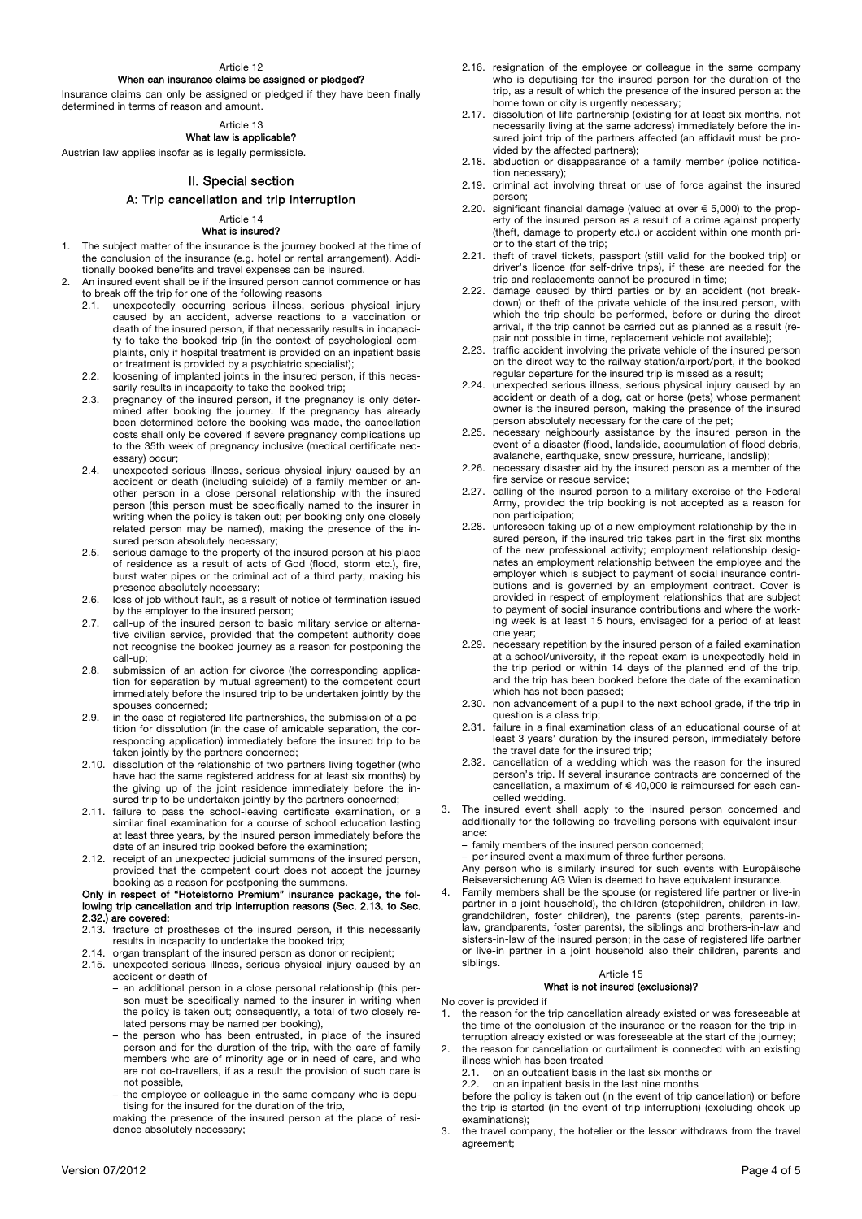#### Article 12

#### When can insurance claims be assigned or pledged?

Insurance claims can only be assigned or pledged if they have been finally determined in terms of reason and amount.

#### Article 13 What law is applicable?

Austrian law applies insofar as is legally permissible.

## II. Special section

#### A: Trip cancellation and trip interruption

#### Article 14 What is insured?

- 1. The subject matter of the insurance is the journey booked at the time of the conclusion of the insurance (e.g. hotel or rental arrangement). Additionally booked benefits and travel expenses can be insured.
- 2. An insured event shall be if the insured person cannot commence or has to break off the trip for one of the following reasons
	- 2.1. unexpectedly occurring serious illness, serious physical injury caused by an accident, adverse reactions to a vaccination or death of the insured person, if that necessarily results in incapacity to take the booked trip (in the context of psychological complaints, only if hospital treatment is provided on an inpatient basis or treatment is provided by a psychiatric specialist);
	- 2.2. loosening of implanted joints in the insured person, if this necessarily results in incapacity to take the booked trip;
	- 2.3. pregnancy of the insured person, if the pregnancy is only determined after booking the journey. If the pregnancy has already been determined before the booking was made, the cancellation costs shall only be covered if severe pregnancy complications up to the 35th week of pregnancy inclusive (medical certificate necessary) occur;
	- 2.4. unexpected serious illness, serious physical injury caused by an accident or death (including suicide) of a family member or another person in a close personal relationship with the insured person (this person must be specifically named to the insurer in writing when the policy is taken out; per booking only one closely related person may be named), making the presence of the insured person absolutely necessary;
	- 2.5. serious damage to the property of the insured person at his place of residence as a result of acts of God (flood, storm etc.), fire, burst water pipes or the criminal act of a third party, making his presence absolutely necessary;
	- 2.6. loss of job without fault, as a result of notice of termination issued by the employer to the insured person;
	- 2.7. call-up of the insured person to basic military service or alternative civilian service, provided that the competent authority does not recognise the booked journey as a reason for postponing the call-up;
	- 2.8. submission of an action for divorce (the corresponding application for separation by mutual agreement) to the competent court immediately before the insured trip to be undertaken jointly by the spouses concerned;
	- 2.9. in the case of registered life partnerships, the submission of a petition for dissolution (in the case of amicable separation, the corresponding application) immediately before the insured trip to be taken jointly by the partners concerned;
	- 2.10. dissolution of the relationship of two partners living together (who have had the same registered address for at least six months) by the giving up of the joint residence immediately before the insured trip to be undertaken jointly by the partners concerned;
	- 2.11. failure to pass the school-leaving certificate examination, or a similar final examination for a course of school education lasting at least three years, by the insured person immediately before the date of an insured trip booked before the examination;
	- 2.12. receipt of an unexpected judicial summons of the insured person, provided that the competent court does not accept the journey booking as a reason for postponing the summons.

#### Only in respect of "Hotelstorno Premium" insurance package, the following trip cancellation and trip interruption reasons (Sec. 2.13. to Sec. 2.32.) are covered:

- 2.13. fracture of prostheses of the insured person, if this necessarily results in incapacity to undertake the booked trip;
- 2.14. organ transplant of the insured person as donor or recipient;
- 2.15. unexpected serious illness, serious physical injury caused by an accident or death of
	- an additional person in a close personal relationship (this person must be specifically named to the insurer in writing when the policy is taken out; consequently, a total of two closely related persons may be named per booking),
	- the person who has been entrusted, in place of the insured person and for the duration of the trip, with the care of family members who are of minority age or in need of care, and who are not co-travellers, if as a result the provision of such care is not possible,
	- the employee or colleague in the same company who is deputising for the insured for the duration of the trip,
	- making the presence of the insured person at the place of residence absolutely necessary;
- 2.16. resignation of the employee or colleague in the same company who is deputising for the insured person for the duration of the trip, as a result of which the presence of the insured person at the home town or city is urgently necessary;
- 2.17. dissolution of life partnership (existing for at least six months, not necessarily living at the same address) immediately before the insured joint trip of the partners affected (an affidavit must be provided by the affected partners);
- 2.18. abduction or disappearance of a family member (police notification necessary);
- 2.19. criminal act involving threat or use of force against the insured person;
- 2.20. significant financial damage (valued at over  $\epsilon$  5,000) to the property of the insured person as a result of a crime against property (theft, damage to property etc.) or accident within one month prior to the start of the trip;
- 2.21. theft of travel tickets, passport (still valid for the booked trip) or driver's licence (for self-drive trips), if these are needed for the trip and replacements cannot be procured in time;
- 2.22. damage caused by third parties or by an accident (not breakdown) or theft of the private vehicle of the insured person, with which the trip should be performed, before or during the direct arrival, if the trip cannot be carried out as planned as a result (repair not possible in time, replacement vehicle not available);
- 2.23. traffic accident involving the private vehicle of the insured person on the direct way to the railway station/airport/port, if the booked regular departure for the insured trip is missed as a result;
- 2.24. unexpected serious illness, serious physical injury caused by an accident or death of a dog, cat or horse (pets) whose permanent owner is the insured person, making the presence of the insured person absolutely necessary for the care of the pet;
- 2.25. necessary neighbourly assistance by the insured person in the event of a disaster (flood, landslide, accumulation of flood debris, avalanche, earthquake, snow pressure, hurricane, landslip);
- 2.26. necessary disaster aid by the insured person as a member of the fire service or rescue service;
- 2.27. calling of the insured person to a military exercise of the Federal Army, provided the trip booking is not accepted as a reason for non participation;
- 2.28. unforeseen taking up of a new employment relationship by the insured person, if the insured trip takes part in the first six months of the new professional activity; employment relationship designates an employment relationship between the employee and the employer which is subject to payment of social insurance contributions and is governed by an employment contract. Cover is provided in respect of employment relationships that are subject to payment of social insurance contributions and where the working week is at least 15 hours, envisaged for a period of at least one year;
- 2.29. necessary repetition by the insured person of a failed examination at a school/university, if the repeat exam is unexpectedly held in the trip period or within 14 days of the planned end of the trip, and the trip has been booked before the date of the examination which has not been passed:
- 2.30. non advancement of a pupil to the next school grade, if the trip in question is a class trip;
- 2.31. failure in a final examination class of an educational course of at least 3 years' duration by the insured person, immediately before the travel date for the insured trip;
- 2.32. cancellation of a wedding which was the reason for the insured person's trip. If several insurance contracts are concerned of the cancellation, a maximum of  $\epsilon$  40,000 is reimbursed for each cancelled wedding.
- 3. The insured event shall apply to the insured person concerned and additionally for the following co-travelling persons with equivalent insurance:
	- family members of the insured person concerned;
	- per insured event a maximum of three further persons.

Any person who is similarly insured for such events with Europäische Reiseversicherung AG Wien is deemed to have equivalent insurance.

Family members shall be the spouse (or registered life partner or live-in partner in a joint household), the children (stepchildren, children-in-law, grandchildren, foster children), the parents (step parents, parents-inlaw, grandparents, foster parents), the siblings and brothers-in-law and sisters-in-law of the insured person; in the case of registered life partner or live-in partner in a joint household also their children, parents and siblings.

#### Article 15 What is not insured (exclusions)?

- No cover is provided if<br>1. the reason for the the reason for the trip cancellation already existed or was foreseeable at the time of the conclusion of the insurance or the reason for the trip interruption already existed or was foreseeable at the start of the journey;
- 2. the reason for cancellation or curtailment is connected with an existing illness which has been treated<br>2.1 on an outpatient basis in
	- 2.1. on an outpatient basis in the last six months or 2.2. on an inpatient basis in the last nine months
	- on an inpatient basis in the last nine months

before the policy is taken out (in the event of trip cancellation) or before the trip is started (in the event of trip interruption) (excluding check up examinations);

3. the travel company, the hotelier or the lessor withdraws from the travel agreement;